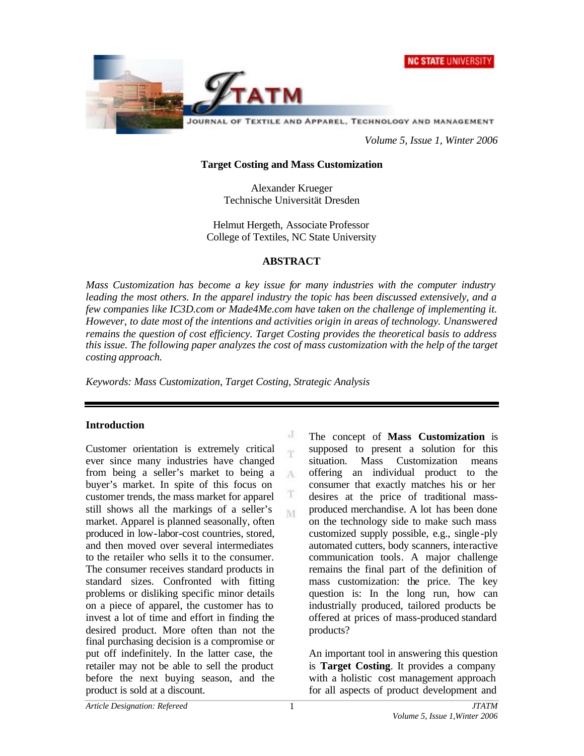



*Volume 5, Issue 1, Winter 2006*

### **Target Costing and Mass Customization**

Alexander Krueger Technische Universität Dresden

Helmut Hergeth, Associate Professor College of Textiles, NC State University

#### **ABSTRACT**

*Mass Customization has become a key issue for many industries with the computer industry leading the most others. In the apparel industry the topic has been discussed extensively, and a few companies like IC3D.com or Made4Me.com have taken on the challenge of implementing it. However, to date most of the intentions and activities origin in areas of technology. Unanswered remains the question of cost efficiency. Target Costing provides the theoretical basis to address this issue. The following paper analyzes the cost of mass customization with the help of the target costing approach.*

> J  $\overline{\textbf{r}}$

A

T M

*Keywords: Mass Customization, Target Costing, Strategic Analysis*

### **Introduction**

Customer orientation is extremely critical ever since many industries have changed from being a seller's market to being a buyer's market. In spite of this focus on customer trends, the mass market for apparel still shows all the markings of a seller's market. Apparel is planned seasonally, often produced in low-labor-cost countries, stored, and then moved over several intermediates to the retailer who sells it to the consumer. The consumer receives standard products in standard sizes. Confronted with fitting problems or disliking specific minor details on a piece of apparel, the customer has to invest a lot of time and effort in finding the desired product. More often than not the final purchasing decision is a compromise or put off indefinitely. In the latter case, the retailer may not be able to sell the product before the next buying season, and the product is sold at a discount.

The concept of **Mass Customization** is supposed to present a solution for this situation. Mass Customization means offering an individual product to the consumer that exactly matches his or her desires at the price of traditional massproduced merchandise. A lot has been done on the technology side to make such mass customized supply possible, e.g., single -ply automated cutters, body scanners, interactive communication tools. A major challenge remains the final part of the definition of mass customization: the price. The key question is: In the long run, how can industrially produced, tailored products be offered at prices of mass-produced standard products?

An important tool in answering this question is **Target Costing**. It provides a company with a holistic cost management approach for all aspects of product development and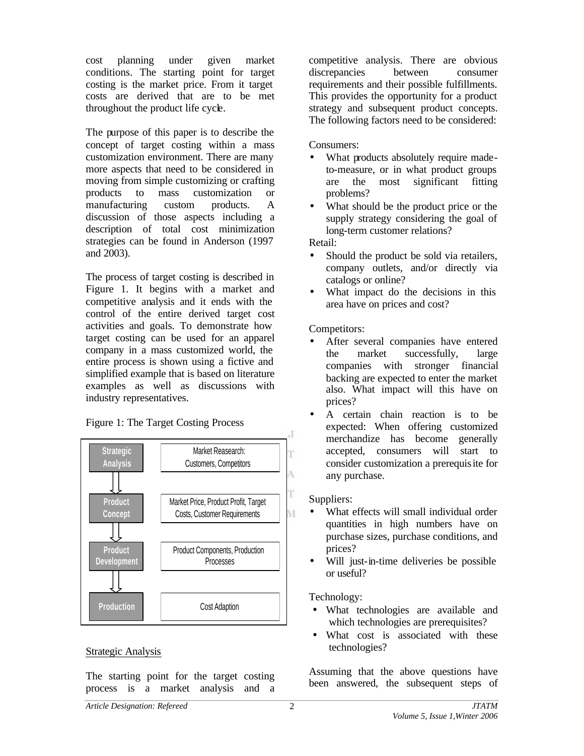cost planning under given market conditions. The starting point for target costing is the market price. From it target costs are derived that are to be met throughout the product life cycle.

The purpose of this paper is to describe the concept of target costing within a mass customization environment. There are many more aspects that need to be considered in moving from simple customizing or crafting products to mass customization or manufacturing custom products. A discussion of those aspects including a description of total cost minimization strategies can be found in Anderson (1997 and 2003).

The process of target costing is described in Figure 1. It begins with a market and competitive analysis and it ends with the control of the entire derived target cost activities and goals. To demonstrate how target costing can be used for an apparel company in a mass customized world, the entire process is shown using a fictive and simplified example that is based on literature examples as well as discussions with industry representatives.

Figure 1: The Target Costing Process



#### Strategic Analysis

The starting point for the target costing process is a market analysis and a competitive analysis. There are obvious discrepancies between consumer requirements and their possible fulfillments. This provides the opportunity for a product strategy and subsequent product concepts. The following factors need to be considered:

Consumers:

- What products absolutely require madeto-measure, or in what product groups are the most significant fitting problems?
- What should be the product price or the supply strategy considering the goal of long-term customer relations?

Retail:

- Should the product be sold via retailers, company outlets, and/or directly via catalogs or online?
- What impact do the decisions in this area have on prices and cost?

Competitors:

- After several companies have entered the market successfully, large companies with stronger financial backing are expected to enter the market also. What impact will this have on prices?
- A certain chain reaction is to be expected: When offering customized merchandize has become generally accepted, consumers will start to consider customization a prerequisite for any purchase.

Suppliers:

- What effects will small individual order quantities in high numbers have on purchase sizes, purchase conditions, and prices?
- Will just-in-time deliveries be possible or useful?

Technology:

- What technologies are available and which technologies are prerequisites?
- What cost is associated with these technologies?

Assuming that the above questions have been answered, the subsequent steps of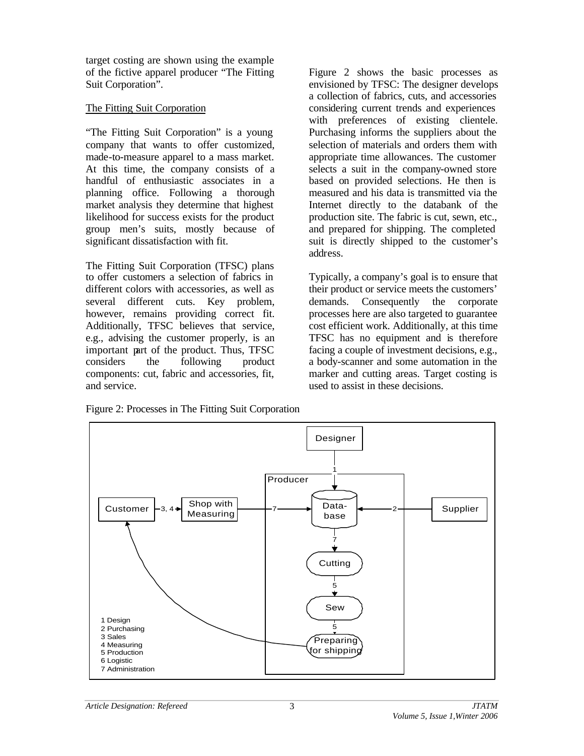target costing are shown using the example of the fictive apparel producer "The Fitting Suit Corporation".

## The Fitting Suit Corporation

"The Fitting Suit Corporation" is a young company that wants to offer customized, made-to-measure apparel to a mass market. At this time, the company consists of a handful of enthusiastic associates in a planning office. Following a thorough market analysis they determine that highest likelihood for success exists for the product group men's suits, mostly because of significant dissatisfaction with fit.

The Fitting Suit Corporation (TFSC) plans to offer customers a selection of fabrics in different colors with accessories, as well as several different cuts. Key problem, however, remains providing correct fit. Additionally, TFSC believes that service, e.g., advising the customer properly, is an important part of the product. Thus, TFSC considers the following product components: cut, fabric and accessories, fit, and service.

Figure 2 shows the basic processes as envisioned by TFSC: The designer develops a collection of fabrics, cuts, and accessories considering current trends and experiences with preferences of existing clientele. Purchasing informs the suppliers about the selection of materials and orders them with appropriate time allowances. The customer selects a suit in the company-owned store based on provided selections. He then is measured and his data is transmitted via the Internet directly to the databank of the production site. The fabric is cut, sewn, etc., and prepared for shipping. The completed suit is directly shipped to the customer's address.

Typically, a company's goal is to ensure that their product or service meets the customers' demands. Consequently the corporate processes here are also targeted to guarantee cost efficient work. Additionally, at this time TFSC has no equipment and is therefore facing a couple of investment decisions, e.g., a body-scanner and some automation in the marker and cutting areas. Target costing is used to assist in these decisions.

Figure 2: Processes in The Fitting Suit Corporation

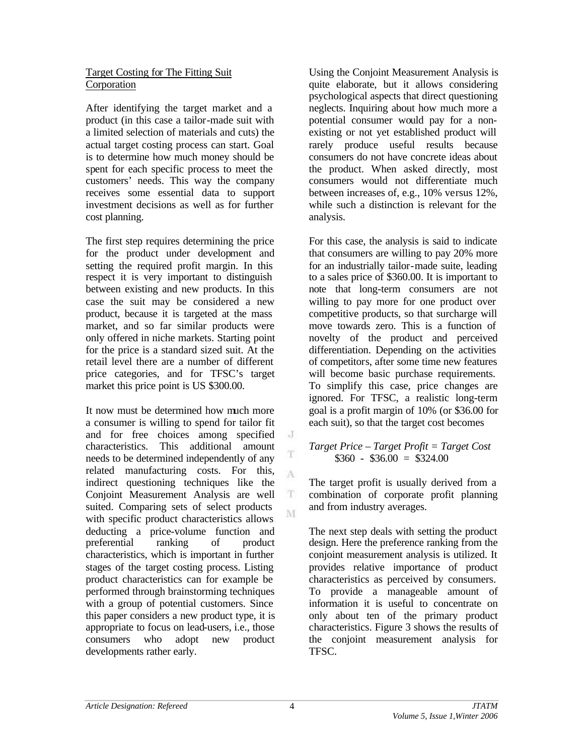### Target Costing for The Fitting Suit Corporation

After identifying the target market and a product (in this case a tailor-made suit with a limited selection of materials and cuts) the actual target costing process can start. Goal is to determine how much money should be spent for each specific process to meet the customers' needs. This way the company receives some essential data to support investment decisions as well as for further cost planning.

The first step requires determining the price for the product under development and setting the required profit margin. In this respect it is very important to distinguish between existing and new products. In this case the suit may be considered a new product, because it is targeted at the mass market, and so far similar products were only offered in niche markets. Starting point for the price is a standard sized suit. At the retail level there are a number of different price categories, and for TFSC's target market this price point is US \$300.00.

It now must be determined how much more a consumer is willing to spend for tailor fit and for free choices among specified characteristics. This additional amount needs to be determined independently of any related manufacturing costs. For this, indirect questioning techniques like the Conjoint Measurement Analysis are well suited. Comparing sets of select products with specific product characteristics allows deducting a price-volume function and preferential ranking of product characteristics, which is important in further stages of the target costing process. Listing product characteristics can for example be performed through brainstorming techniques with a group of potential customers. Since this paper considers a new product type, it is appropriate to focus on lead-users, i.e., those consumers who adopt new product developments rather early.

Using the Conjoint Measurement Analysis is quite elaborate, but it allows considering psychological aspects that direct questioning neglects. Inquiring about how much more a potential consumer would pay for a nonexisting or not yet established product will rarely produce useful results because consumers do not have concrete ideas about the product. When asked directly, most consumers would not differentiate much between increases of, e.g., 10% versus 12%, while such a distinction is relevant for the analysis.

For this case, the analysis is said to indicate that consumers are willing to pay 20% more for an industrially tailor-made suite, leading to a sales price of \$360.00. It is important to note that long-term consumers are not willing to pay more for one product over competitive products, so that surcharge will move towards zero. This is a function of novelty of the product and perceived differentiation. Depending on the activities of competitors, after some time new features will become basic purchase requirements. To simplify this case, price changes are ignored. For TFSC, a realistic long-term goal is a profit margin of 10% (or \$36.00 for each suit), so that the target cost becomes

### *Target Price – Target Profit = Target Cost*  $$360 - $36.00 = $324.00$

The target profit is usually derived from a combination of corporate profit planning and from industry averages.

The next step deals with setting the product design. Here the preference ranking from the conjoint measurement analysis is utilized. It provides relative importance of product characteristics as perceived by consumers. To provide a manageable amount of information it is useful to concentrate on only about ten of the primary product characteristics. Figure 3 shows the results of the conjoint measurement analysis for TFSC.

 $\cdot$  J

T

A

 $\mathbf T$ M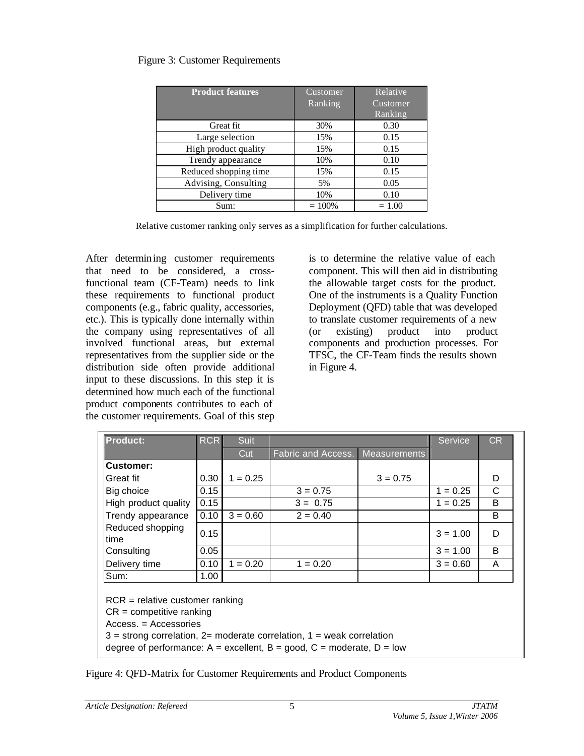# Figure 3: Customer Requirements

| <b>Product features</b> | Customer<br>Ranking | Relative<br>Customer<br>Ranking |
|-------------------------|---------------------|---------------------------------|
| Great fit               | 30%                 | 0.30                            |
| Large selection         | 15%                 | 0.15                            |
| High product quality    | 15%                 | 0.15                            |
| Trendy appearance       | 10%                 | 0.10                            |
| Reduced shopping time   | 15%                 | 0.15                            |
| Advising, Consulting    | 5%                  | 0.05                            |
| Delivery time           | 10%                 | 0.10                            |
| Sum:                    | $= 100\%$           | $= 1.00$                        |

Relative customer ranking only serves as a simplification for further calculations.

After determining customer requirements that need to be considered, a crossfunctional team (CF-Team) needs to link these requirements to functional product components (e.g., fabric quality, accessories, etc.). This is typically done internally within the company using representatives of all involved functional areas, but external representatives from the supplier side or the distribution side often provide additional input to these discussions. In this step it is determined how much each of the functional product components contributes to each of the customer requirements. Goal of this step

is to determine the relative value of each component. This will then aid in distributing the allowable target costs for the product. One of the instruments is a Quality Function Deployment (QFD) table that was developed to translate customer requirements of a new (or existing) product into product components and production processes. For TFSC, the CF-Team finds the results shown in Figure 4.

| <b>Product:</b>                                                                                                                                                                                                                                        | <b>RCR</b> | Suit       |                                        |            | Service    | <b>CR</b> |
|--------------------------------------------------------------------------------------------------------------------------------------------------------------------------------------------------------------------------------------------------------|------------|------------|----------------------------------------|------------|------------|-----------|
|                                                                                                                                                                                                                                                        |            | Cut        | <b>Fabric and Access.</b> Measurements |            |            |           |
| <b>Customer:</b>                                                                                                                                                                                                                                       |            |            |                                        |            |            |           |
| Great fit                                                                                                                                                                                                                                              | 0.30       | $1 = 0.25$ |                                        | $3 = 0.75$ |            | D         |
| Big choice                                                                                                                                                                                                                                             | 0.15       |            | $3 = 0.75$                             |            | $1 = 0.25$ | C         |
| High product quality                                                                                                                                                                                                                                   | 0.15       |            | $3 = 0.75$                             |            | $1 = 0.25$ | B         |
| Trendy appearance                                                                                                                                                                                                                                      | 0.10       | $3 = 0.60$ | $2 = 0.40$                             |            |            | B         |
| Reduced shopping<br>time                                                                                                                                                                                                                               | 0.15       |            |                                        |            | $3 = 1.00$ | D         |
| Consulting                                                                                                                                                                                                                                             | 0.05       |            |                                        |            | $3 = 1.00$ | B         |
| Delivery time                                                                                                                                                                                                                                          | 0.10       | $1 = 0.20$ | $1 = 0.20$                             |            | $3 = 0.60$ | A         |
| Sum:                                                                                                                                                                                                                                                   | 1.00       |            |                                        |            |            |           |
| $RCR =$ relative customer ranking<br>$CR =$ competitive ranking<br>$Access. = Accessories$<br>$3$ = strong correlation, 2= moderate correlation, 1 = weak correlation<br>degree of performance: $A =$ excellent, $B =$ good, $C =$ moderate, $D =$ low |            |            |                                        |            |            |           |

Figure 4: QFD-Matrix for Customer Requirements and Product Components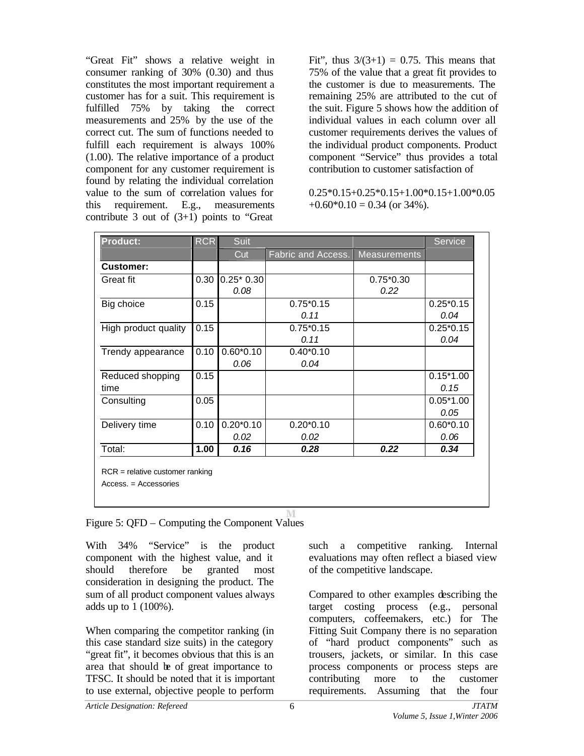"Great Fit" shows a relative weight in consumer ranking of 30% (0.30) and thus constitutes the most important requirement a customer has for a suit. This requirement is fulfilled 75% by taking the correct measurements and 25% by the use of the correct cut. The sum of functions needed to fulfill each requirement is always 100% (1.00). The relative importance of a product component for any customer requirement is found by relating the individual correlation value to the sum of correlation values for this requirement. E.g., measurements contribute 3 out of  $(3+1)$  points to "Great"

Fit", thus  $3/(3+1) = 0.75$ . This means that 75% of the value that a great fit provides to the customer is due to measurements. The remaining 25% are attributed to the cut of the suit. Figure 5 shows how the addition of individual values in each column over all customer requirements derives the values of the individual product components. Product component "Service" thus provides a total contribution to customer satisfaction of

 $0.25*0.15+0.25*0.15+1.00*0.15+1.00*0.05$  $+0.60*0.10 = 0.34$  (or 34%).

| <b>Product:</b>      |      | <b>RCR</b><br>Suit |                    |                     |             |  |
|----------------------|------|--------------------|--------------------|---------------------|-------------|--|
|                      |      | Cut                | Fabric and Access. | <b>Measurements</b> |             |  |
| Customer:            |      |                    |                    |                     |             |  |
| Great fit            | 0.30 | $0.25*0.30$        |                    | $0.75*0.30$         |             |  |
|                      |      | 0.08               |                    | 0.22                |             |  |
| Big choice           | 0.15 |                    | $0.75*0.15$        |                     | $0.25*0.15$ |  |
|                      |      |                    | 0.11               |                     | 0.04        |  |
| High product quality | 0.15 |                    | $0.75*0.15$        |                     | $0.25*0.15$ |  |
|                      |      |                    | 0.11               |                     | 0.04        |  |
| Trendy appearance    | 0.10 | $0.60*0.10$        | $0.40*0.10$        |                     |             |  |
|                      |      | 0.06               | 0.04               |                     |             |  |
| Reduced shopping     | 0.15 |                    |                    |                     | $0.15*1.00$ |  |
| time                 |      |                    |                    |                     | 0.15        |  |
| Consulting           | 0.05 |                    |                    |                     | $0.05*1.00$ |  |
|                      |      |                    |                    |                     | 0.05        |  |
| Delivery time        | 0.10 | $0.20*0.10$        | $0.20*0.10$        |                     | $0.60*0.10$ |  |
|                      |      | 0.02               | 0.02               |                     | 0.06        |  |
| Total:               | 1.00 | 0.16               | 0.28               | 0.22                | 0.34        |  |

Figure 5: QFD – Computing the Component Values

With 34% "Service" is the product component with the highest value, and it should therefore be granted most consideration in designing the product. The sum of all product component values always adds up to 1 (100%).

When comparing the competitor ranking (in this case standard size suits) in the category "great fit", it becomes obvious that this is an area that should be of great importance to TFSC. It should be noted that it is important to use external, objective people to perform

such a competitive ranking. Internal evaluations may often reflect a biased view of the competitive landscape.

Compared to other examples describing the target costing process (e.g., personal computers, coffeemakers, etc.) for The Fitting Suit Company there is no separation of "hard product components" such as trousers, jackets, or similar. In this case process components or process steps are contributing more to the customer requirements. Assuming that the four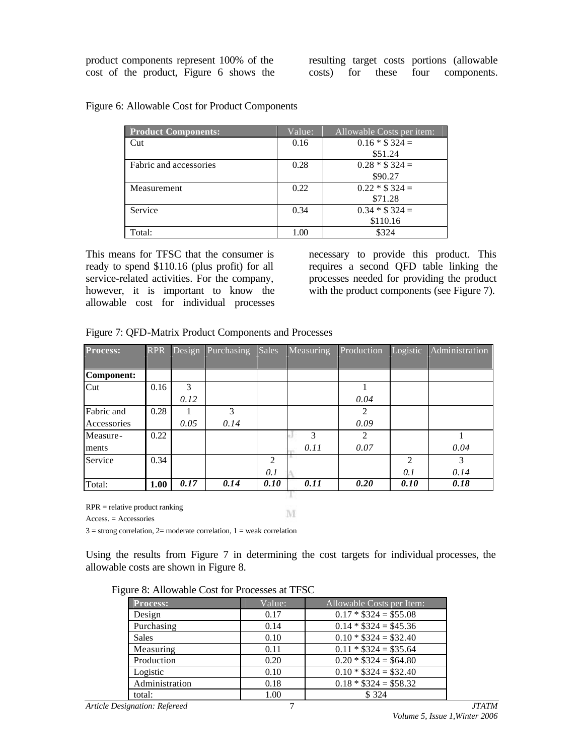product components represent 100% of the cost of the product, Figure 6 shows the resulting target costs portions (allowable costs) for these four components.

| <b>Product Components:</b> | Value: | Allowable Costs per item: |
|----------------------------|--------|---------------------------|
| Cut                        | 0.16   | $0.16 * $324 =$           |
|                            |        | \$51.24                   |
| Fabric and accessories     | 0.28   | $0.28 * $324 =$           |
|                            |        | \$90.27                   |
| Measurement                | 0.22   | $0.22 * $324 =$           |
|                            |        | \$71.28                   |
| Service                    | 0.34   | $0.34 * $324 =$           |
|                            |        | \$110.16                  |
| Total:                     | 1.00   | \$324                     |

Figure 6: Allowable Cost for Product Components

This means for TFSC that the consumer is ready to spend \$110.16 (plus profit) for all service-related activities. For the company, however, it is important to know the allowable cost for individual processes

necessary to provide this product. This requires a second QFD table linking the processes needed for providing the product with the product components (see Figure 7).

| <b>Process:</b> | <b>RPR</b> | Design | Purchasing | <b>Sales</b>   | Measuring | Production                  | Logistic                    | Administration |
|-----------------|------------|--------|------------|----------------|-----------|-----------------------------|-----------------------------|----------------|
|                 |            |        |            |                |           |                             |                             |                |
| Component:      |            |        |            |                |           |                             |                             |                |
| Cut             | 0.16       | 3      |            |                |           |                             |                             |                |
|                 |            | 0.12   |            |                |           | 0.04                        |                             |                |
| Fabric and      | 0.28       |        | 3          |                |           | $\mathcal{D}_{\mathcal{A}}$ |                             |                |
| Accessories     |            | 0.05   | 0.14       |                |           | 0.09                        |                             |                |
| Measure-        | 0.22       |        |            |                | 3         | $\mathcal{D}_{\mathcal{L}}$ |                             |                |
| ments           |            |        |            |                | 0.11      | 0.07                        |                             | 0.04           |
| Service         | 0.34       |        |            | $\mathfrak{D}$ |           |                             | $\mathcal{D}_{\mathcal{L}}$ | $\mathcal{R}$  |
|                 |            |        |            | 0.1            |           |                             | 0.1                         | 0.14           |
| Total:          | 1.00       | 0.17   | 0.14       | 0.10           | 0.11      | 0.20                        | 0.10                        | 0.18           |
|                 |            |        |            |                |           |                             |                             |                |

Figure 7: QFD-Matrix Product Components and Processes

RPR = relative product ranking

Access. = Accessories

 $3 =$  strong correlation,  $2 =$  moderate correlation,  $1 =$  weak correlation

Using the results from Figure 7 in determining the cost targets for individual processes, the allowable costs are shown in Figure 8.

M

|  | Figure 8: Allowable Cost for Processes at TFSC |  |  |  |
|--|------------------------------------------------|--|--|--|
|--|------------------------------------------------|--|--|--|

| $\mathbb{R}^m$ . The wave control Hoccesses at HDC |        |                           |  |  |  |
|----------------------------------------------------|--------|---------------------------|--|--|--|
| <b>Process:</b>                                    | Value: | Allowable Costs per Item: |  |  |  |
| Design                                             | 0.17   | $0.17 * $324 = $55.08$    |  |  |  |
| Purchasing                                         | 0.14   | $0.14 * $324 = $45.36$    |  |  |  |
| <b>Sales</b>                                       | 0.10   | $0.10 * $324 = $32.40$    |  |  |  |
| Measuring                                          | 0.11   | $0.11 * $324 = $35.64$    |  |  |  |
| Production                                         | 0.20   | $0.20 * $324 = $64.80$    |  |  |  |
| Logistic                                           | 0.10   | $0.10 * $324 = $32.40$    |  |  |  |
| Administration                                     | 0.18   | $0.18 * $324 = $58.32$    |  |  |  |
| total:                                             | 1.00   | \$324                     |  |  |  |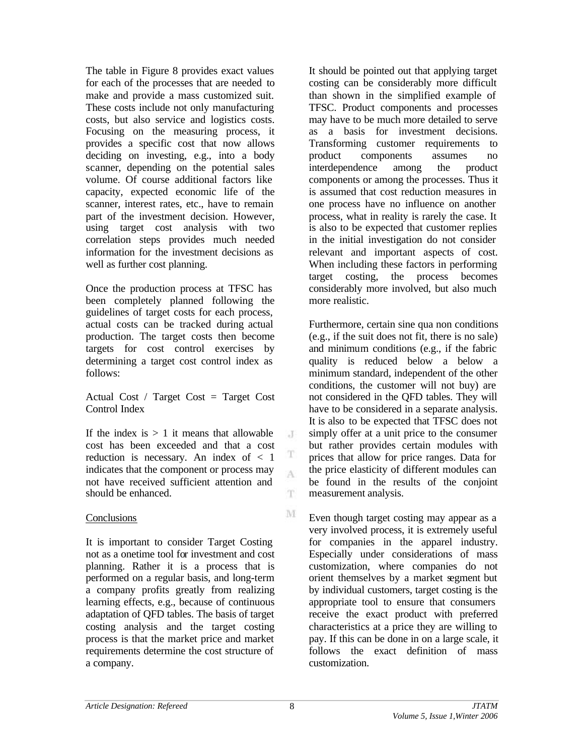The table in Figure 8 provides exact values for each of the processes that are needed to make and provide a mass customized suit. These costs include not only manufacturing costs, but also service and logistics costs. Focusing on the measuring process, it provides a specific cost that now allows deciding on investing, e.g., into a body scanner, depending on the potential sales volume. Of course additional factors like capacity, expected economic life of the scanner, interest rates, etc., have to remain part of the investment decision. However, using target cost analysis with two correlation steps provides much needed information for the investment decisions as well as further cost planning.

Once the production process at TFSC has been completely planned following the guidelines of target costs for each process, actual costs can be tracked during actual production. The target costs then become targets for cost control exercises by determining a target cost control index as follows:

Actual Cost / Target Cost = Target Cost Control Index

If the index is  $> 1$  it means that allowable cost has been exceeded and that a cost reduction is necessary. An index of < 1 indicates that the component or process may not have received sufficient attention and should be enhanced.

### **Conclusions**

It is important to consider Target Costing not as a onetime tool for investment and cost planning. Rather it is a process that is performed on a regular basis, and long-term a company profits greatly from realizing learning effects, e.g., because of continuous adaptation of QFD tables. The basis of target costing analysis and the target costing process is that the market price and market requirements determine the cost structure of a company.

It should be pointed out that applying target costing can be considerably more difficult than shown in the simplified example of TFSC. Product components and processes may have to be much more detailed to serve as a basis for investment decisions. Transforming customer requirements to product components assumes no interdependence among the product components or among the processes. Thus it is assumed that cost reduction measures in one process have no influence on another process, what in reality is rarely the case. It is also to be expected that customer replies in the initial investigation do not consider relevant and important aspects of cost. When including these factors in performing target costing, the process becomes considerably more involved, but also much more realistic.

Furthermore, certain sine qua non conditions (e.g., if the suit does not fit, there is no sale) and minimum conditions (e.g., if the fabric quality is reduced below a below a minimum standard, independent of the other conditions, the customer will not buy) are not considered in the QFD tables. They will have to be considered in a separate analysis. It is also to be expected that TFSC does not simply offer at a unit price to the consumer but rather provides certain modules with prices that allow for price ranges. Data for the price elasticity of different modules can be found in the results of the conjoint measurement analysis.

Even though target costing may appear as a very involved process, it is extremely useful for companies in the apparel industry. Especially under considerations of mass customization, where companies do not orient themselves by a market segment but by individual customers, target costing is the appropriate tool to ensure that consumers receive the exact product with preferred characteristics at a price they are willing to pay. If this can be done in on a large scale, it follows the exact definition of mass customization.

 $\cdot$ T

T A.

T.

M